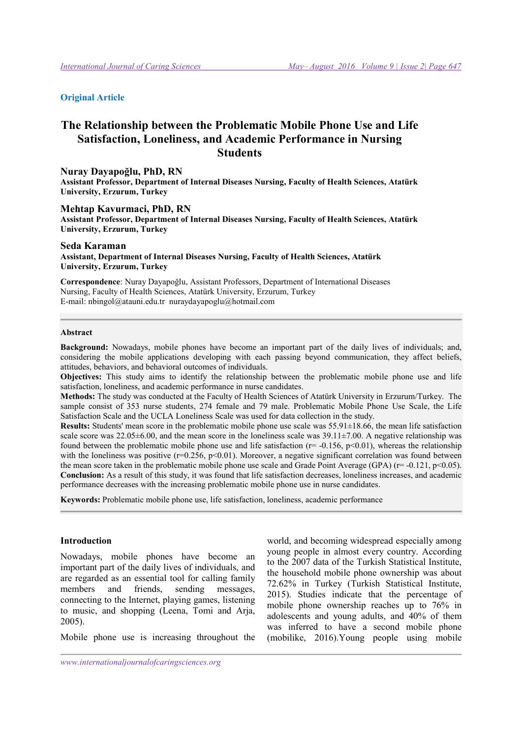### Original Article

# The Relationship between the Problematic Mobile Phone Use and Life Satisfaction, Loneliness, and Academic Performance in Nursing **Students**

#### Nuray Dayapoğlu, PhD, RN

Assistant Professor, Department of Internal Diseases Nursing, Faculty of Health Sciences, Atatürk University, Erzurum, Turkey

#### Mehtap Kavurmaci, PhD, RN

Assistant Professor, Department of Internal Diseases Nursing, Faculty of Health Sciences, Atatürk University, Erzurum, Turkey

### Seda Karaman Assistant, Department of Internal Diseases Nursing, Faculty of Health Sciences, Atatürk University, Erzurum, Turkey

Correspondence: Nuray Dayapoğlu, Assistant Professors, Department of International Diseases Nursing, Faculty of Health Sciences, Atatürk University, Erzurum, Turkey E-mail: nbingol@atauni.edu.tr nuraydayapoglu@hotmail.com

#### Abstract

Background: Nowadays, mobile phones have become an important part of the daily lives of individuals; and, considering the mobile applications developing with each passing beyond communication, they affect beliefs, attitudes, behaviors, and behavioral outcomes of individuals.

Objectives: This study aims to identify the relationship between the problematic mobile phone use and life satisfaction, loneliness, and academic performance in nurse candidates.

Methods: The study was conducted at the Faculty of Health Sciences of Atatürk University in Erzurum/Turkey. The sample consist of 353 nurse students, 274 female and 79 male. Problematic Mobile Phone Use Scale, the Life Satisfaction Scale and the UCLA Loneliness Scale was used for data collection in the study.

**Results:** Students' mean score in the problematic mobile phone use scale was  $55.91\pm18.66$ , the mean life satisfaction scale score was  $22.05\pm6.00$ , and the mean score in the loneliness scale was  $39.11\pm7.00$ . A negative relationship was found between the problematic mobile phone use and life satisfaction ( $r=$  -0.156,  $p<0.01$ ), whereas the relationship with the loneliness was positive ( $r=0.256$ ,  $p<0.01$ ). Moreover, a negative significant correlation was found between the mean score taken in the problematic mobile phone use scale and Grade Point Average (GPA) ( $r=$  -0.121,  $p<$  0.05). Conclusion: As a result of this study, it was found that life satisfaction decreases, loneliness increases, and academic performance decreases with the increasing problematic mobile phone use in nurse candidates.

Keywords: Problematic mobile phone use, life satisfaction, loneliness, academic performance

#### Introduction

Nowadays, mobile phones have become an important part of the daily lives of individuals, and are regarded as an essential tool for calling family members and friends, sending messages, connecting to the Internet, playing games, listening to music, and shopping (Leena, Tomi and Arja, 2005).

Mobile phone use is increasing throughout the

world, and becoming widespread especially among young people in almost every country. According to the 2007 data of the Turkish Statistical Institute, the household mobile phone ownership was about 72.62% in Turkey (Turkish Statistical Institute, 2015). Studies indicate that the percentage of mobile phone ownership reaches up to 76% in adolescents and young adults, and 40% of them was inferred to have a second mobile phone (mobilike, 2016).Young people using mobile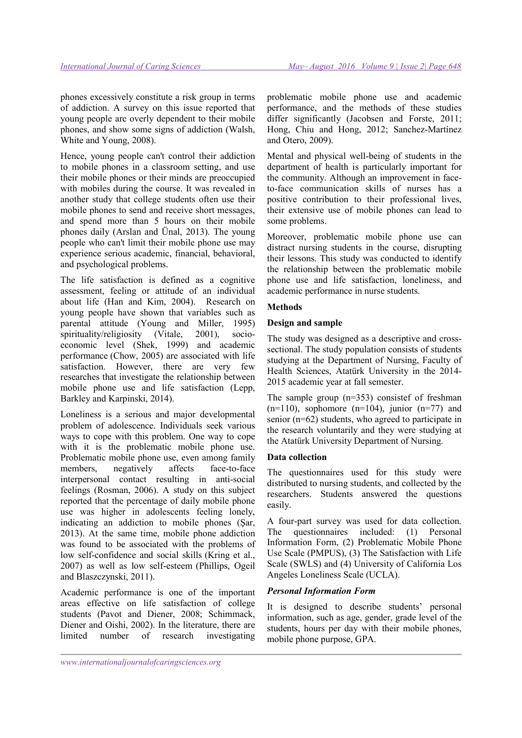phones excessively constitute a risk group in terms of addiction. A survey on this issue reported that young people are overly dependent to their mobile phones, and show some signs of addiction (Walsh, White and Young, 2008).

Hence, young people can't control their addiction to mobile phones in a classroom setting, and use their mobile phones or their minds are preoccupied with mobiles during the course. It was revealed in another study that college students often use their mobile phones to send and receive short messages, and spend more than 5 hours on their mobile phones daily (Arslan and Ünal, 2013). The young people who can't limit their mobile phone use may experience serious academic, financial, behavioral, and psychological problems.

The life satisfaction is defined as a cognitive assessment, feeling or attitude of an individual about life (Han and Kim, 2004). Research on young people have shown that variables such as parental attitude (Young and Miller, 1995) spirituality/religiosity (Vitale, 2001), socioeconomic level (Shek, 1999) and academic performance (Chow, 2005) are associated with life satisfaction. However, there are very few researches that investigate the relationship between mobile phone use and life satisfaction (Lepp, Barkley and Karpinski, 2014).

Loneliness is a serious and major developmental problem of adolescence. Individuals seek various ways to cope with this problem. One way to cope with it is the problematic mobile phone use. Problematic mobile phone use, even among family members, negatively affects face-to-face interpersonal contact resulting in anti-social feelings (Rosman, 2006). A study on this subject reported that the percentage of daily mobile phone use was higher in adolescents feeling lonely, indicating an addiction to mobile phones (Şar, 2013). At the same time, mobile phone addiction was found to be associated with the problems of low self-confidence and social skills (Kring et al., 2007) as well as low self-esteem (Phillips, Ogeil and Blaszczynski, 2011).

Academic performance is one of the important areas effective on life satisfaction of college students (Pavot and Diener, 2008; Schimmack, Diener and Oishi, 2002). In the literature, there are limited number of research investigating problematic mobile phone use and academic performance, and the methods of these studies differ significantly (Jacobsen and Forste, 2011; Hong, Chiu and Hong, 2012; Sanchez-Martínez and Otero, 2009).

Mental and physical well-being of students in the department of health is particularly important for the community. Although an improvement in faceto-face communication skills of nurses has a positive contribution to their professional lives, their extensive use of mobile phones can lead to some problems.

Moreover, problematic mobile phone use can distract nursing students in the course, disrupting their lessons. This study was conducted to identify the relationship between the problematic mobile phone use and life satisfaction, loneliness, and academic performance in nurse students.

### Methods

### Design and sample

The study was designed as a descriptive and crosssectional. The study population consists of students studying at the Department of Nursing, Faculty of Health Sciences, Atatürk University in the 2014- 2015 academic year at fall semester.

The sample group (n=353) consistef of freshman  $(n=110)$ , sophomore  $(n=104)$ , junior  $(n=77)$  and senior (n=62) students, who agreed to participate in the research voluntarily and they were studying at the Atatürk University Department of Nursing.

## Data collection

The questionnaires used for this study were distributed to nursing students, and collected by the researchers. Students answered the questions easily.

A four-part survey was used for data collection. The questionnaires included: (1) Personal Information Form, (2) Problematic Mobile Phone Use Scale (PMPUS), (3) The Satisfaction with Life Scale (SWLS) and (4) University of California Los Angeles Loneliness Scale (UCLA).

### Personal Information Form

It is designed to describe students' personal information, such as age, gender, grade level of the students, hours per day with their mobile phones, mobile phone purpose, GPA.

www.internationaljournalofcaringsciences.org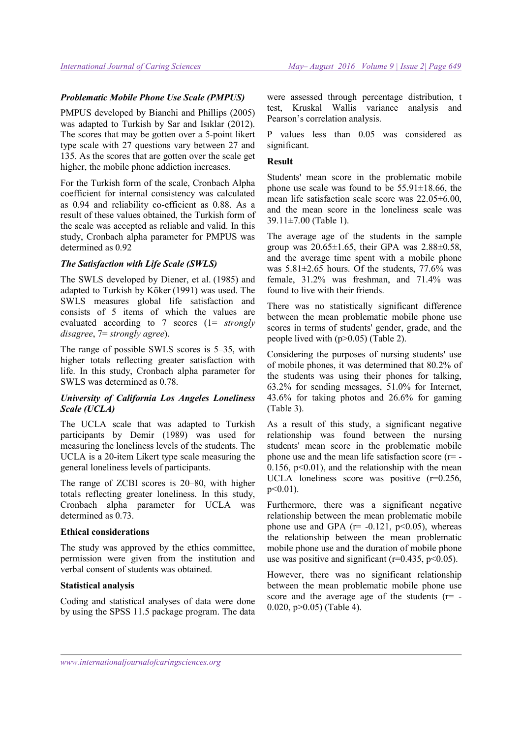#### Problematic Mobile Phone Use Scale (PMPUS)

PMPUS developed by Bianchi and Phillips (2005) was adapted to Turkish by Sar and Isıklar (2012). The scores that may be gotten over a 5-point likert type scale with 27 questions vary between 27 and 135. As the scores that are gotten over the scale get higher, the mobile phone addiction increases.

For the Turkish form of the scale, Cronbach Alpha coefficient for internal consistency was calculated as 0.94 and reliability co-efficient as 0.88. As a result of these values obtained, the Turkish form of the scale was accepted as reliable and valid. In this study, Cronbach alpha parameter for PMPUS was determined as 0.92

#### The Satisfaction with Life Scale (SWLS)

The SWLS developed by Diener, et al. (1985) and adapted to Turkish by Köker (1991) was used. The SWLS measures global life satisfaction and consists of 5 items of which the values are evaluated according to 7 scores (1= strongly disagree, 7 = strongly agree).

The range of possible SWLS scores is 5–35, with higher totals reflecting greater satisfaction with life. In this study, Cronbach alpha parameter for SWLS was determined as 0.78.

## University of California Los Angeles Loneliness Scale (UCLA)

The UCLA scale that was adapted to Turkish participants by Demir (1989) was used for measuring the loneliness levels of the students. The UCLA is a 20-item Likert type scale measuring the general loneliness levels of participants.

The range of ZCBI scores is 20–80, with higher totals reflecting greater loneliness. In this study, Cronbach alpha parameter for UCLA was determined as 0.73.

#### Ethical considerations

The study was approved by the ethics committee, permission were given from the institution and verbal consent of students was obtained.

### Statistical analysis

Coding and statistical analyses of data were done by using the SPSS 11.5 package program. The data were assessed through percentage distribution, t test, Kruskal Wallis variance analysis and Pearson's correlation analysis.

P values less than 0.05 was considered as significant.

#### Result

Students' mean score in the problematic mobile phone use scale was found to be  $55.91 \pm 18.66$ , the mean life satisfaction scale score was 22.05±6.00, and the mean score in the loneliness scale was 39.11±7.00 (Table 1).

The average age of the students in the sample group was  $20.65 \pm 1.65$ , their GPA was  $2.88 \pm 0.58$ , and the average time spent with a mobile phone was 5.81±2.65 hours. Of the students, 77.6% was female, 31.2% was freshman, and 71.4% was found to live with their friends.

There was no statistically significant difference between the mean problematic mobile phone use scores in terms of students' gender, grade, and the people lived with (p>0.05) (Table 2).

Considering the purposes of nursing students' use of mobile phones, it was determined that 80.2% of the students was using their phones for talking, 63.2% for sending messages, 51.0% for Internet, 43.6% for taking photos and 26.6% for gaming (Table 3).

As a result of this study, a significant negative relationship was found between the nursing students' mean score in the problematic mobile phone use and the mean life satisfaction score (r= - 0.156,  $p<0.01$ ), and the relationship with the mean UCLA loneliness score was positive (r=0.256,  $p<0.01$ ).

Furthermore, there was a significant negative relationship between the mean problematic mobile phone use and GPA ( $r=$  -0.121,  $p<0.05$ ), whereas the relationship between the mean problematic mobile phone use and the duration of mobile phone use was positive and significant ( $r=0.435$ ,  $p<0.05$ ).

However, there was no significant relationship between the mean problematic mobile phone use score and the average age of the students  $(r= -$ 0.020,  $p > 0.05$ ) (Table 4).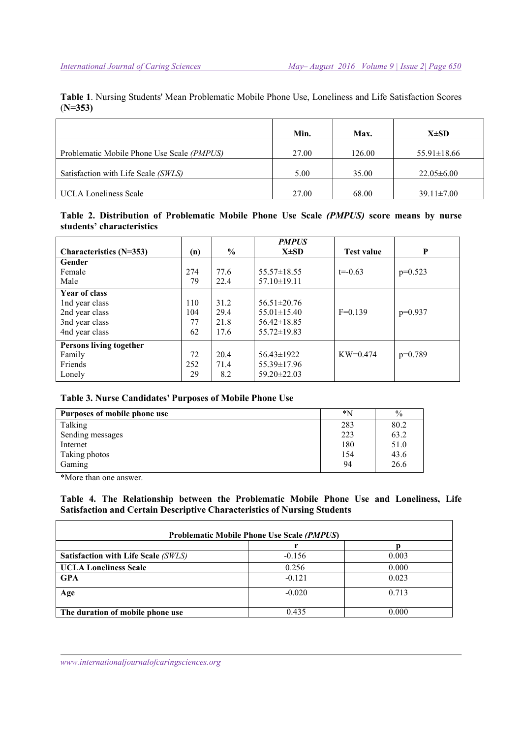Table 1. Nursing Students' Mean Problematic Mobile Phone Use, Loneliness and Life Satisfaction Scores (N=353)

|                                            | Min.  | Max.   | $X\pm SD$         |
|--------------------------------------------|-------|--------|-------------------|
| Problematic Mobile Phone Use Scale (PMPUS) | 27.00 | 126.00 | $55.91 \pm 18.66$ |
| Satisfaction with Life Scale (SWLS)        | 5.00  | 35.00  | $22.05 \pm 6.00$  |
| <b>UCLA Loneliness Scale</b>               | 27.00 | 68.00  | $39.11 \pm 7.00$  |

# Table 2. Distribution of Problematic Mobile Phone Use Scale (PMPUS) score means by nurse students' characteristics

|                           |     |               | <b>PMPUS</b>      |                   |           |
|---------------------------|-----|---------------|-------------------|-------------------|-----------|
| Characteristics $(N=353)$ | (n) | $\frac{6}{9}$ | $X\pm SD$         | <b>Test value</b> | P         |
| Gender                    |     |               |                   |                   |           |
| Female                    | 274 | 77.6          | $55.57 \pm 18.55$ | $t = -0.63$       | $p=0.523$ |
| Male                      | 79  | 22.4          | $57.10 \pm 19.11$ |                   |           |
| <b>Year of class</b>      |     |               |                   |                   |           |
| Ind year class            | 110 | 31.2          | $56.51 \pm 20.76$ |                   |           |
| 2nd year class            | 104 | 29.4          | $55.01 \pm 15.40$ | $F=0.139$         | $p=0.937$ |
| 3nd year class            | 77  | 21.8          | $56.42 \pm 18.85$ |                   |           |
| 4nd year class            | 62  | 17.6          | $55.72 \pm 19.83$ |                   |           |
| Persons living together   |     |               |                   |                   |           |
| Family                    | 72  | 20.4          | $56.43 \pm 1922$  | $KW=0.474$        | $p=0.789$ |
| Friends                   | 252 | 71.4          | 55.39±17.96       |                   |           |
| Lonely                    | 29  | 8.2           | $59.20 \pm 22.03$ |                   |           |

# Table 3. Nurse Candidates' Purposes of Mobile Phone Use

| Purposes of mobile phone use | *N  | $\frac{0}{0}$ |
|------------------------------|-----|---------------|
| Talking                      | 283 | 80.2          |
| Sending messages             | 223 | 63.2          |
| Internet                     | 180 | 51.0          |
| Taking photos                | 154 | 43.6          |
| Gaming                       | 94  | 26.6          |

\*More than one answer.

Table 4. The Relationship between the Problematic Mobile Phone Use and Loneliness, Life Satisfaction and Certain Descriptive Characteristics of Nursing Students

| <b>Problematic Mobile Phone Use Scale (PMPUS)</b> |          |       |  |  |  |
|---------------------------------------------------|----------|-------|--|--|--|
|                                                   |          |       |  |  |  |
| Satisfaction with Life Scale (SWLS)               | $-0.156$ | 0.003 |  |  |  |
| <b>UCLA Loneliness Scale</b>                      | 0.256    | 0.000 |  |  |  |
| <b>GPA</b>                                        | $-0.121$ | 0.023 |  |  |  |
| Age                                               | $-0.020$ | 0.713 |  |  |  |
| The duration of mobile phone use                  | 0.435    | 0.000 |  |  |  |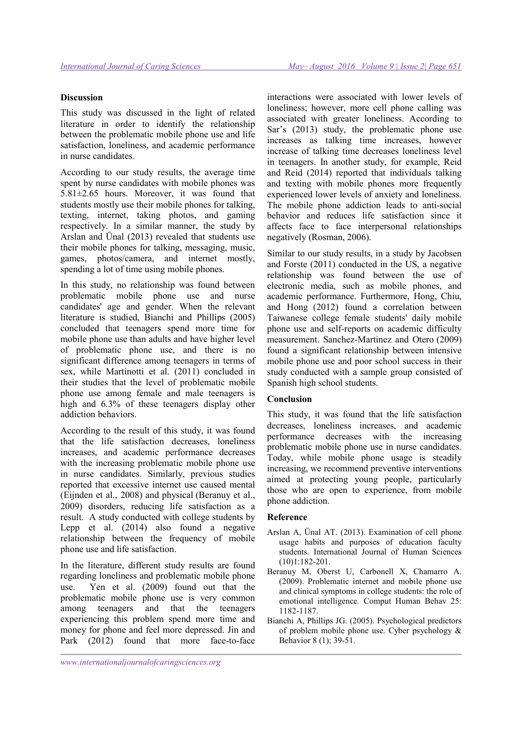#### **Discussion**

This study was discussed in the light of related literature in order to identify the relationship between the problematic mobile phone use and life satisfaction, loneliness, and academic performance in nurse candidates.

According to our study results, the average time spent by nurse candidates with mobile phones was 5.81±2.65 hours. Moreover, it was found that students mostly use their mobile phones for talking, texting, internet, taking photos, and gaming respectively. In a similar manner, the study by Arslan and Ünal (2013) revealed that students use their mobile phones for talking, messaging, music, games, photos/camera, and internet mostly, spending a lot of time using mobile phones.

In this study, no relationship was found between problematic mobile phone use and nurse candidates' age and gender. When the relevant literature is studied, Bianchi and Phillips (2005) concluded that teenagers spend more time for mobile phone use than adults and have higher level of problematic phone use, and there is no significant difference among teenagers in terms of sex, while Martinotti et al. (2011) concluded in their studies that the level of problematic mobile phone use among female and male teenagers is high and 6.3% of these teenagers display other addiction behaviors.

According to the result of this study, it was found that the life satisfaction decreases, loneliness increases, and academic performance decreases with the increasing problematic mobile phone use in nurse candidates. Similarly, previous studies reported that excessive internet use caused mental (Eijnden et al., 2008) and physical (Beranuy et al., 2009) disorders, reducing life satisfaction as a result. A study conducted with college students by Lepp et al. (2014) also found a negative relationship between the frequency of mobile phone use and life satisfaction.

In the literature, different study results are found regarding loneliness and problematic mobile phone use. Yen et al. (2009) found out that the problematic mobile phone use is very common among teenagers and that the teenagers experiencing this problem spend more time and money for phone and feel more depressed. Jin and Park (2012) found that more face-to-face

interactions were associated with lower levels of loneliness; however, more cell phone calling was associated with greater loneliness. According to Sar's (2013) study, the problematic phone use increases as talking time increases, however increase of talking time decreases loneliness level in teenagers. In another study, for example, Reid and Reid (2014) reported that individuals talking and texting with mobile phones more frequently experienced lower levels of anxiety and loneliness. The mobile phone addiction leads to anti-social behavior and reduces life satisfaction since it affects face to face interpersonal relationships negatively (Rosman, 2006).

Similar to our study results, in a study by Jacobsen and Forste (2011) conducted in the US, a negative relationship was found between the use of electronic media, such as mobile phones, and academic performance. Furthermore, Hong, Chiu, and Hong (2012) found a correlation between Taiwanese college female students' daily mobile phone use and self-reports on academic difficulty measurement. Sanchez-Martinez and Otero (2009) found a significant relationship between intensive mobile phone use and poor school success in their study conducted with a sample group consisted of Spanish high school students.

### Conclusion

This study, it was found that the life satisfaction decreases, loneliness increases, and academic performance decreases with the increasing problematic mobile phone use in nurse candidates. Today, while mobile phone usage is steadily increasing, we recommend preventive interventions aimed at protecting young people, particularly those who are open to experience, from mobile phone addiction.

### Reference

- Arslan A, Ünal AT. (2013). Examination of cell phone usage habits and purposes of education faculty students. International Journal of Human Sciences (10)1:182-201.
- Beranuy M, Oberst U, Carbonell X, Chamarro A. (2009). Problematic internet and mobile phone use and clinical symptoms in college students: the role of emotional intelligence. Comput Human Behav 25: 1182-1187.
- Bianchi A, Phillips JG. (2005). Psychological predictors of problem mobile phone use. Cyber psychology & Behavior 8 (1); 39-51.